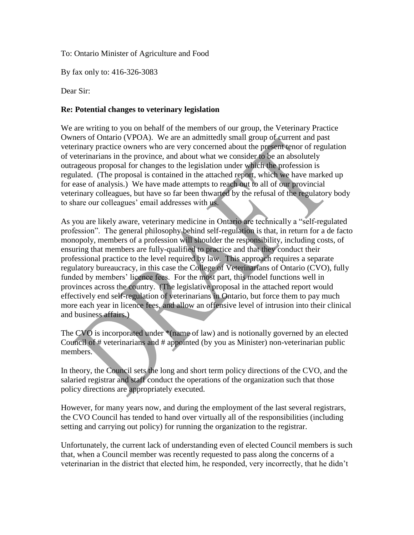To: Ontario Minister of Agriculture and Food

By fax only to: 416-326-3083

Dear Sir:

## **Re: Potential changes to veterinary legislation**

We are writing to you on behalf of the members of our group, the Veterinary Practice Owners of Ontario (VPOA). We are an admittedly small group of current and past veterinary practice owners who are very concerned about the present tenor of regulation of veterinarians in the province, and about what we consider to be an absolutely outrageous proposal for changes to the legislation under which the profession is regulated. (The proposal is contained in the attached report, which we have marked up for ease of analysis.) We have made attempts to reach out to all of our provincial veterinary colleagues, but have so far been thwarted by the refusal of the regulatory body to share our colleagues' email addresses with us.

As you are likely aware, veterinary medicine in Ontario are technically a "self-regulated profession". The general philosophy behind self-regulation is that, in return for a de facto monopoly, members of a profession will shoulder the responsibility, including costs, of ensuring that members are fully-qualified to practice and that they conduct their professional practice to the level required by law. This approach requires a separate regulatory bureaucracy, in this case the College of Veterinarians of Ontario (CVO), fully funded by members' licence fees. For the most part, this model functions well in provinces across the country. (The legislative proposal in the attached report would effectively end self-regulation of veterinarians in Ontario, but force them to pay much more each year in licence fees, and allow an offensive level of intrusion into their clinical and business affairs.)

The CVO is incorporated under \*(name of law) and is notionally governed by an elected Council of # veterinarians and # appointed (by you as Minister) non-veterinarian public members.

In theory, the Council sets the long and short term policy directions of the CVO, and the salaried registrar and staff conduct the operations of the organization such that those policy directions are appropriately executed.

However, for many years now, and during the employment of the last several registrars, the CVO Council has tended to hand over virtually all of the responsibilities (including setting and carrying out policy) for running the organization to the registrar.

Unfortunately, the current lack of understanding even of elected Council members is such that, when a Council member was recently requested to pass along the concerns of a veterinarian in the district that elected him, he responded, very incorrectly, that he didn't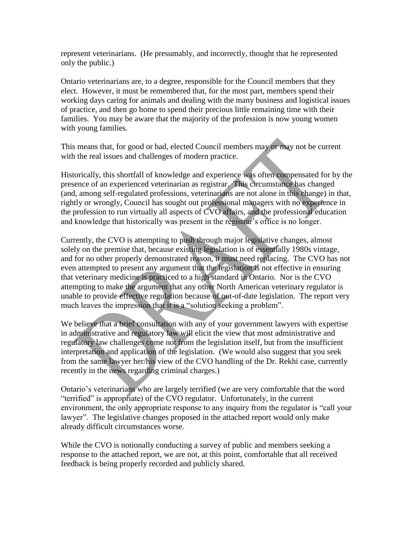represent veterinarians. (He presumably, and incorrectly, thought that he represented only the public.)

Ontario veterinarians are, to a degree, responsible for the Council members that they elect. However, it must be remembered that, for the most part, members spend their working days caring for animals and dealing with the many business and logistical issues of practice, and then go home to spend their precious little remaining time with their families. You may be aware that the majority of the profession is now young women with young families.

This means that, for good or bad, elected Council members may or may not be current with the real issues and challenges of modern practice.

Historically, this shortfall of knowledge and experience was often compensated for by the presence of an experienced veterinarian as registrar. This circumstance has changed (and, among self-regulated professions, veterinarians are not alone in this change) in that, rightly or wrongly, Council has sought out professional managers with no experience in the profession to run virtually all aspects of CVO affairs, and the professional education and knowledge that historically was present in the registrar's office is no longer.

Currently, the CVO is attempting to push through major legislative changes, almost solely on the premise that, because existing legislation is of essentially 1980s vintage, and for no other properly demonstrated reason, it must need replacing. The CVO has not even attempted to present any argument that the legislation is not effective in ensuring that veterinary medicine is practiced to a high standard in Ontario. Nor is the CVO attempting to make the argument that any other North American veterinary regulator is unable to provide effective regulation because of out-of-date legislation. The report very much leaves the impression that it is a "solution seeking a problem".

We believe that a brief consultation with any of your government lawyers with expertise in administrative and regulatory law will elicit the view that most administrative and regulatory law challenges come not from the legislation itself, but from the insufficient interpretation and application of the legislation. (We would also suggest that you seek from the same lawyer her/his view of the CVO handling of the Dr. Rekhi case, currently recently in the news regarding criminal charges.)

Ontario's veterinarians who are largely terrified (we are very comfortable that the word "terrified" is appropriate) of the CVO regulator. Unfortunately, in the current environment, the only appropriate response to any inquiry from the regulator is "call your lawyer". The legislative changes proposed in the attached report would only make already difficult circumstances worse.

While the CVO is notionally conducting a survey of public and members seeking a response to the attached report, we are not, at this point, comfortable that all received feedback is being properly recorded and publicly shared.